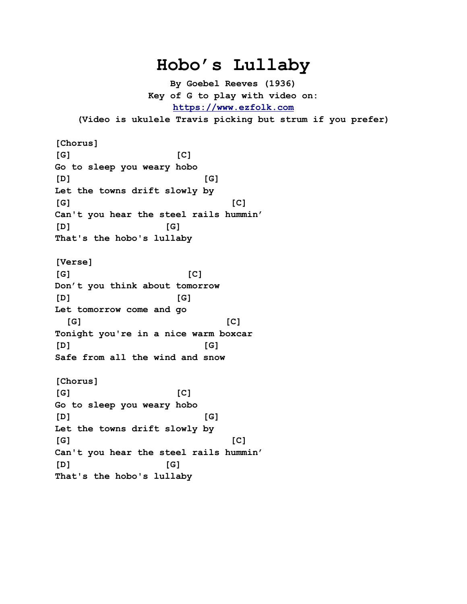## **Hobo's Lullaby**

**By Goebel Reeves (1936) Key of G to play with video on: [https://www.ezfolk.com](https://www.ezfolk.com/)**

**(Video is ukulele Travis picking but strum if you prefer)**

**[Chorus] [G] [C] Go to sleep you weary hobo [D] [G] Let the towns drift slowly by [G] [C] Can't you hear the steel rails hummin' [D] [G] That's the hobo's lullaby [Verse] [G] [C] Don't you think about tomorrow [D] [G] Let tomorrow come and go [G] [C] Tonight you're in a nice warm boxcar [D] [G] Safe from all the wind and snow [Chorus] [G] [C] Go to sleep you weary hobo [D] [G] Let the towns drift slowly by [G] [C] Can't you hear the steel rails hummin' [D] [G] That's the hobo's lullaby**